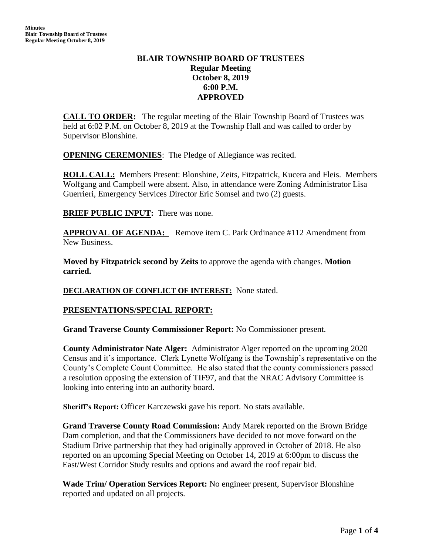## **BLAIR TOWNSHIP BOARD OF TRUSTEES Regular Meeting October 8, 2019 6:00 P.M. APPROVED**

**CALL TO ORDER:** The regular meeting of the Blair Township Board of Trustees was held at 6:02 P.M. on October 8, 2019 at the Township Hall and was called to order by Supervisor Blonshine.

**OPENING CEREMONIES**: The Pledge of Allegiance was recited.

**ROLL CALL:** Members Present: Blonshine, Zeits, Fitzpatrick, Kucera and Fleis. Members Wolfgang and Campbell were absent. Also, in attendance were Zoning Administrator Lisa Guerrieri, Emergency Services Director Eric Somsel and two (2) guests.

**BRIEF PUBLIC INPUT:** There was none.

**APPROVAL OF AGENDA:** Remove item C. Park Ordinance #112 Amendment from New Business.

**Moved by Fitzpatrick second by Zeits** to approve the agenda with changes. **Motion carried.**

## **DECLARATION OF CONFLICT OF INTEREST:** None stated.

## **PRESENTATIONS/SPECIAL REPORT:**

**Grand Traverse County Commissioner Report:** No Commissioner present.

**County Administrator Nate Alger:** Administrator Alger reported on the upcoming 2020 Census and it's importance. Clerk Lynette Wolfgang is the Township's representative on the County's Complete Count Committee. He also stated that the county commissioners passed a resolution opposing the extension of TIF97, and that the NRAC Advisory Committee is looking into entering into an authority board.

**Sheriff's Report:** Officer Karczewski gave his report. No stats available.

**Grand Traverse County Road Commission:** Andy Marek reported on the Brown Bridge Dam completion, and that the Commissioners have decided to not move forward on the Stadium Drive partnership that they had originally approved in October of 2018. He also reported on an upcoming Special Meeting on October 14, 2019 at 6:00pm to discuss the East/West Corridor Study results and options and award the roof repair bid.

**Wade Trim/ Operation Services Report:** No engineer present, Supervisor Blonshine reported and updated on all projects.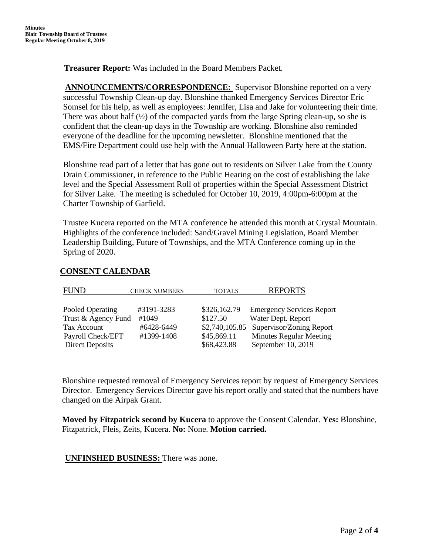**Treasurer Report:** Was included in the Board Members Packet.

**ANNOUNCEMENTS/CORRESPONDENCE:** Supervisor Blonshine reported on a very successful Township Clean-up day. Blonshine thanked Emergency Services Director Eric Somsel for his help, as well as employees: Jennifer, Lisa and Jake for volunteering their time. There was about half  $(\frac{1}{2})$  of the compacted yards from the large Spring clean-up, so she is confident that the clean-up days in the Township are working. Blonshine also reminded everyone of the deadline for the upcoming newsletter. Blonshine mentioned that the EMS/Fire Department could use help with the Annual Halloween Party here at the station.

Blonshine read part of a letter that has gone out to residents on Silver Lake from the County Drain Commissioner, in reference to the Public Hearing on the cost of establishing the lake level and the Special Assessment Roll of properties within the Special Assessment District for Silver Lake. The meeting is scheduled for October 10, 2019, 4:00pm-6:00pm at the Charter Township of Garfield.

Trustee Kucera reported on the MTA conference he attended this month at Crystal Mountain. Highlights of the conference included: Sand/Gravel Mining Legislation, Board Member Leadership Building, Future of Townships, and the MTA Conference coming up in the Spring of 2020.

| FUND                   | <b>CHECK NUMBERS</b> | <b>TOTALS</b> | <b>REPORTS</b>                          |
|------------------------|----------------------|---------------|-----------------------------------------|
|                        |                      |               |                                         |
| Pooled Operating       | #3191-3283           | \$326,162.79  | <b>Emergency Services Report</b>        |
| Trust & Agency Fund    | #1049                | \$127.50      | Water Dept. Report                      |
| Tax Account            | #6428-6449           |               | \$2,740,105.85 Supervisor/Zoning Report |
| Payroll Check/EFT      | #1399-1408           | \$45,869.11   | <b>Minutes Regular Meeting</b>          |
| <b>Direct Deposits</b> |                      | \$68,423.88   | September 10, 2019                      |

## **CONSENT CALENDAR**

Blonshine requested removal of Emergency Services report by request of Emergency Services Director. Emergency Services Director gave his report orally and stated that the numbers have changed on the Airpak Grant.

**Moved by Fitzpatrick second by Kucera** to approve the Consent Calendar. **Yes:** Blonshine, Fitzpatrick, Fleis, Zeits, Kucera. **No:** None. **Motion carried.**

## **UNFINSHED BUSINESS:** There was none.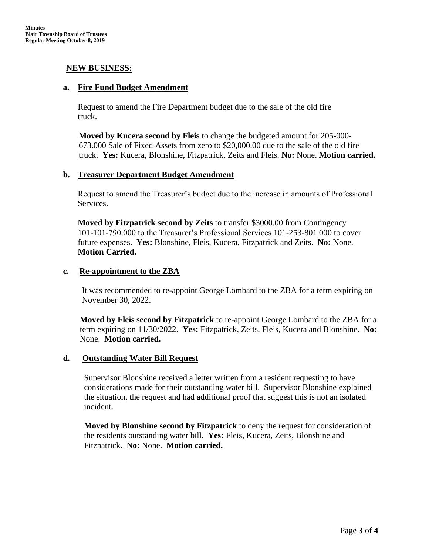## **NEW BUSINESS:**

#### **a. Fire Fund Budget Amendment**

Request to amend the Fire Department budget due to the sale of the old fire truck.

**Moved by Kucera second by Fleis** to change the budgeted amount for 205-000- 673.000 Sale of Fixed Assets from zero to \$20,000.00 due to the sale of the old fire truck. **Yes:** Kucera, Blonshine, Fitzpatrick, Zeits and Fleis. **No:** None. **Motion carried.**

#### **b. Treasurer Department Budget Amendment**

Request to amend the Treasurer's budget due to the increase in amounts of Professional Services.

**Moved by Fitzpatrick second by Zeits** to transfer \$3000.00 from Contingency 101-101-790.000 to the Treasurer's Professional Services 101-253-801.000 to cover future expenses. **Yes:** Blonshine, Fleis, Kucera, Fitzpatrick and Zeits. **No:** None. **Motion Carried.**

## **c. Re-appointment to the ZBA**

It was recommended to re-appoint George Lombard to the ZBA for a term expiring on November 30, 2022.

**Moved by Fleis second by Fitzpatrick** to re-appoint George Lombard to the ZBA for a term expiring on 11/30/2022. **Yes:** Fitzpatrick, Zeits, Fleis, Kucera and Blonshine. **No:**  None. **Motion carried.**

## **d. Outstanding Water Bill Request**

Supervisor Blonshine received a letter written from a resident requesting to have considerations made for their outstanding water bill. Supervisor Blonshine explained the situation, the request and had additional proof that suggest this is not an isolated incident.

**Moved by Blonshine second by Fitzpatrick** to deny the request for consideration of the residents outstanding water bill. **Yes:** Fleis, Kucera, Zeits, Blonshine and Fitzpatrick. **No:** None. **Motion carried.**